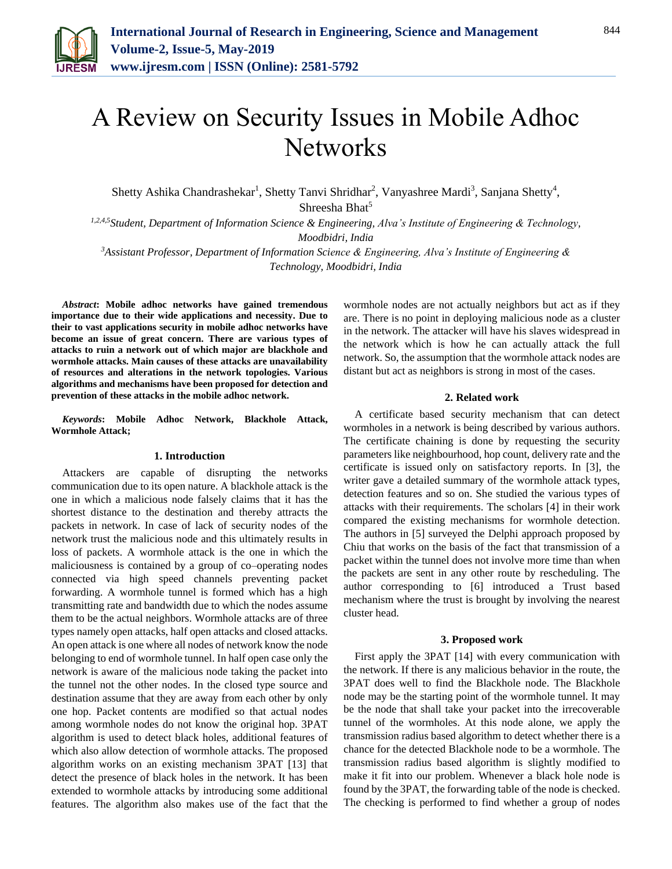

# A Review on Security Issues in Mobile Adhoc **Networks**

Shetty Ashika Chandrashekar<sup>1</sup>, Shetty Tanvi Shridhar<sup>2</sup>, Vanyashree Mardi<sup>3</sup>, Sanjana Shetty<sup>4</sup>, Shreesha Bhat<sup>5</sup>

*1,2,4,5Student, Department of Information Science & Engineering, Alva's Institute of Engineering & Technology, Moodbidri, India* 

*<sup>3</sup>Assistant Professor, Department of Information Science & Engineering, Alva's Institute of Engineering & Technology, Moodbidri, India* 

*Abstract***: Mobile adhoc networks have gained tremendous importance due to their wide applications and necessity. Due to their to vast applications security in mobile adhoc networks have become an issue of great concern. There are various types of attacks to ruin a network out of which major are blackhole and wormhole attacks. Main causes of these attacks are unavailability of resources and alterations in the network topologies. Various algorithms and mechanisms have been proposed for detection and prevention of these attacks in the mobile adhoc network.** 

*Keywords***: Mobile Adhoc Network, Blackhole Attack, Wormhole Attack;**

### **1. Introduction**

Attackers are capable of disrupting the networks communication due to its open nature. A blackhole attack is the one in which a malicious node falsely claims that it has the shortest distance to the destination and thereby attracts the packets in network. In case of lack of security nodes of the network trust the malicious node and this ultimately results in loss of packets. A wormhole attack is the one in which the maliciousness is contained by a group of co–operating nodes connected via high speed channels preventing packet forwarding. A wormhole tunnel is formed which has a high transmitting rate and bandwidth due to which the nodes assume them to be the actual neighbors. Wormhole attacks are of three types namely open attacks, half open attacks and closed attacks. An open attack is one where all nodes of network know the node belonging to end of wormhole tunnel. In half open case only the network is aware of the malicious node taking the packet into the tunnel not the other nodes. In the closed type source and destination assume that they are away from each other by only one hop. Packet contents are modified so that actual nodes among wormhole nodes do not know the original hop. 3PAT algorithm is used to detect black holes, additional features of which also allow detection of wormhole attacks. The proposed algorithm works on an existing mechanism 3PAT [13] that detect the presence of black holes in the network. It has been extended to wormhole attacks by introducing some additional features. The algorithm also makes use of the fact that the wormhole nodes are not actually neighbors but act as if they are. There is no point in deploying malicious node as a cluster in the network. The attacker will have his slaves widespread in the network which is how he can actually attack the full network. So, the assumption that the wormhole attack nodes are distant but act as neighbors is strong in most of the cases.

## **2. Related work**

A certificate based security mechanism that can detect wormholes in a network is being described by various authors. The certificate chaining is done by requesting the security parameters like neighbourhood, hop count, delivery rate and the certificate is issued only on satisfactory reports. In [3], the writer gave a detailed summary of the wormhole attack types, detection features and so on. She studied the various types of attacks with their requirements. The scholars [4] in their work compared the existing mechanisms for wormhole detection. The authors in [5] surveyed the Delphi approach proposed by Chiu that works on the basis of the fact that transmission of a packet within the tunnel does not involve more time than when the packets are sent in any other route by rescheduling. The author corresponding to [6] introduced a Trust based mechanism where the trust is brought by involving the nearest cluster head.

### **3. Proposed work**

First apply the 3PAT [14] with every communication with the network. If there is any malicious behavior in the route, the 3PAT does well to find the Blackhole node. The Blackhole node may be the starting point of the wormhole tunnel. It may be the node that shall take your packet into the irrecoverable tunnel of the wormholes. At this node alone, we apply the transmission radius based algorithm to detect whether there is a chance for the detected Blackhole node to be a wormhole. The transmission radius based algorithm is slightly modified to make it fit into our problem. Whenever a black hole node is found by the 3PAT, the forwarding table of the node is checked. The checking is performed to find whether a group of nodes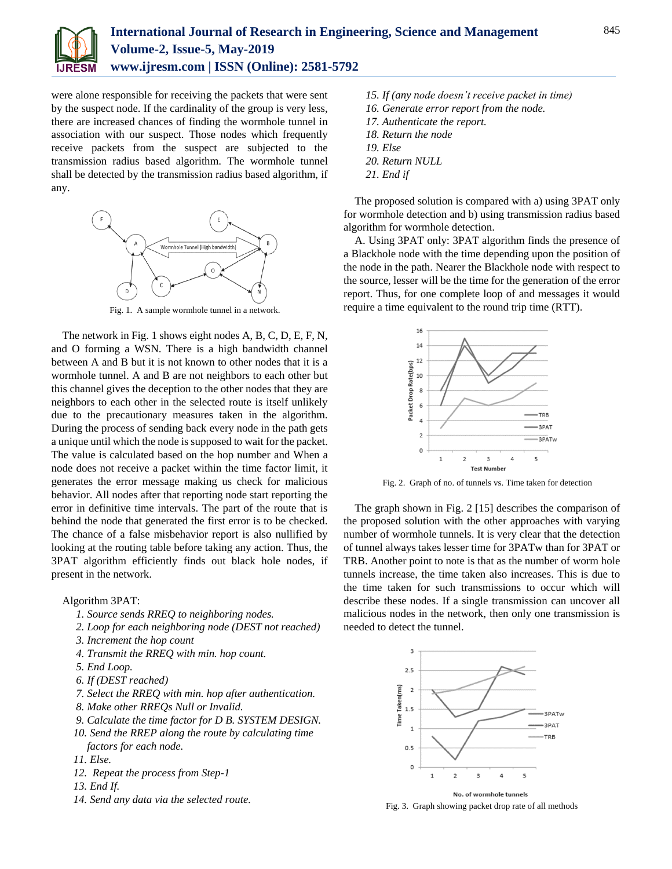

were alone responsible for receiving the packets that were sent by the suspect node. If the cardinality of the group is very less, there are increased chances of finding the wormhole tunnel in association with our suspect. Those nodes which frequently receive packets from the suspect are subjected to the transmission radius based algorithm. The wormhole tunnel shall be detected by the transmission radius based algorithm, if any.



Fig. 1. A sample wormhole tunnel in a network.

The network in Fig. 1 shows eight nodes A, B, C, D, E, F, N, and O forming a WSN. There is a high bandwidth channel between A and B but it is not known to other nodes that it is a wormhole tunnel. A and B are not neighbors to each other but this channel gives the deception to the other nodes that they are neighbors to each other in the selected route is itself unlikely due to the precautionary measures taken in the algorithm. During the process of sending back every node in the path gets a unique until which the node is supposed to wait for the packet. The value is calculated based on the hop number and When a node does not receive a packet within the time factor limit, it generates the error message making us check for malicious behavior. All nodes after that reporting node start reporting the error in definitive time intervals. The part of the route that is behind the node that generated the first error is to be checked. The chance of a false misbehavior report is also nullified by looking at the routing table before taking any action. Thus, the 3PAT algorithm efficiently finds out black hole nodes, if present in the network.

#### Algorithm 3PAT:

- *1. Source sends RREQ to neighboring nodes.*
- *2. Loop for each neighboring node (DEST not reached)*
- *3. Increment the hop count*
- *4. Transmit the RREQ with min. hop count.*
- *5. End Loop.*
- *6. If (DEST reached)*
- *7. Select the RREQ with min. hop after authentication.*
- *8. Make other RREQs Null or Invalid.*
- *9. Calculate the time factor for D B. SYSTEM DESIGN.*
- *10. Send the RREP along the route by calculating time factors for each node.*
- *11. Else.*
- *12. Repeat the process from Step-1*
- *13. End If.*
- *14. Send any data via the selected route.*
- *15. If (any node doesn't receive packet in time)*
- *16. Generate error report from the node.*
- *17. Authenticate the report.*
- *18. Return the node*
- *19. Else*
- *20. Return NULL*
- *21. End if*

The proposed solution is compared with a) using 3PAT only for wormhole detection and b) using transmission radius based algorithm for wormhole detection.

A. Using 3PAT only: 3PAT algorithm finds the presence of a Blackhole node with the time depending upon the position of the node in the path. Nearer the Blackhole node with respect to the source, lesser will be the time for the generation of the error report. Thus, for one complete loop of and messages it would require a time equivalent to the round trip time (RTT).



Fig. 2. Graph of no. of tunnels vs. Time taken for detection

The graph shown in Fig. 2 [15] describes the comparison of the proposed solution with the other approaches with varying number of wormhole tunnels. It is very clear that the detection of tunnel always takes lesser time for 3PATw than for 3PAT or TRB. Another point to note is that as the number of worm hole tunnels increase, the time taken also increases. This is due to the time taken for such transmissions to occur which will describe these nodes. If a single transmission can uncover all malicious nodes in the network, then only one transmission is needed to detect the tunnel.



No. of wormhole tunnels Fig. 3. Graph showing packet drop rate of all methods